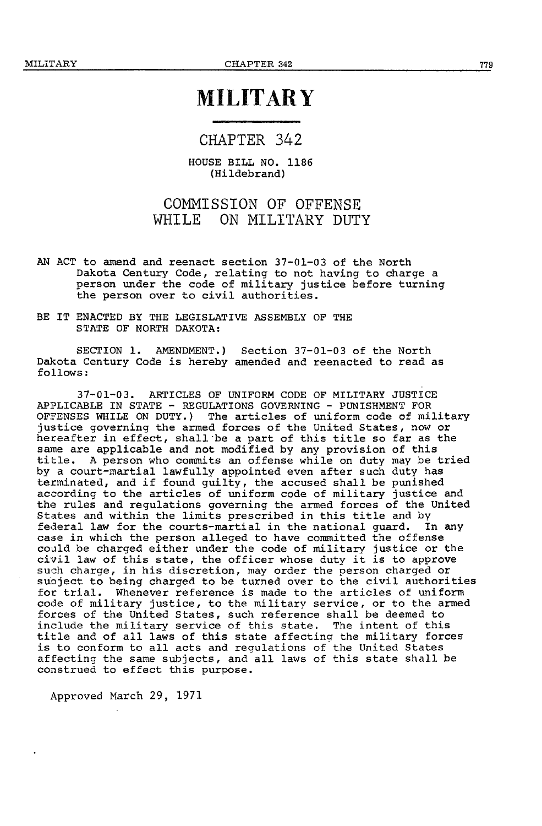# **MILITARY**

### CHAPTER 342

HOUSE BILL NO. 1186 (Hildebrand)

# COMMISSION OF OFFENSE WHILE ON MILITARY DUTY

- AN ACT to amend and reenact section 37-01-03 of the North<br>Dakota Century Code, relating to not having to charge a person under the code of military justice before turning the person over to civil authorities.
- BE IT ENACTED BY THE LEGISLATIVE ASSEMBLY OF THE STATE OF NORTH DAKOTA:

SECTION 1. AMENDMENT.) Section 37-01-03 of the North Dakota Century Code is hereby amended and reenacted to read as follows:

37-01-03. ARTICLES OF UNIFORM CODE OF MILITARY JUSTICE APPLICABLE IN STATE - REGULATIONS GOVERNING - PUNISHMENT FOR OFFENSES WHILE ON DUTY.) The articles of uniform code of military<br>justice governing the armed forces of the United States, now or hereafter in effect, shall be a part of this title so far as the same are applicable and not modified by any provision of this title. A person who commits an offense while on duty may be tried by a court-martial lawfully appointed even after such duty has terminated, and if found guilty, the accused shall be punished according to the articles of uniform code of military justice and the rules and regulations governing the armed forces of the United States and within the limits prescribed in this title and by<br>federal law for the courts-martial in the national guard. In any case in which the person alleged to have committed the offense could be charged either under the code of military justice or the civil law of this state, the officer whose duty it is to approve such charge, in his discretion, may order the person charged or suoject to being charged to be turned over to the civil authorities for trial. Whenever reference is made to the articles of uniform code of military justice, to the military service, or to the armed forces of the United States, such reference shall be deemed to include the military service of this state. The intent of this title and of all laws of this state affecting the military forces is to conform to all acts and reaulations of the United States affecting the same subjects, and all laws of this state shall be construed to effect this purpose.

Approved March 29, 1971

779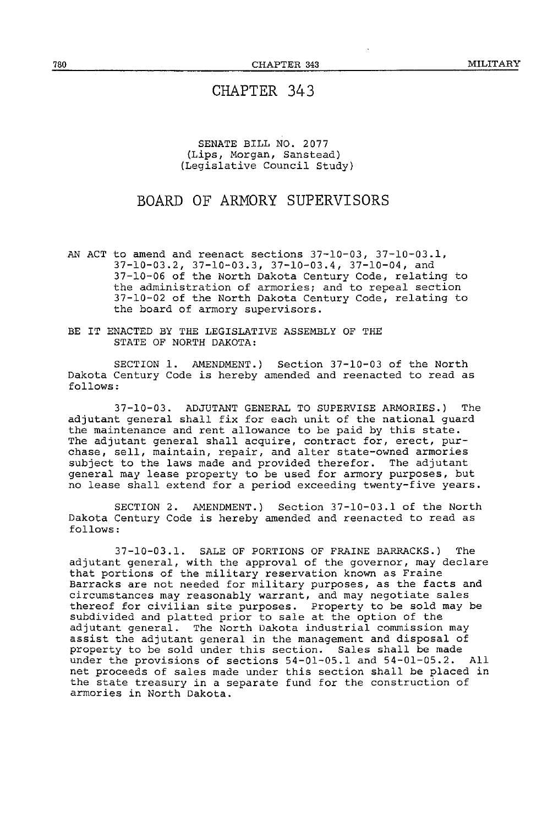#### SENATE BILL NO. 2077 (Lips, Morgan, Sanstead) (Legislative Council Study)

# BOARD OF ARMORY SUPERVISORS

AN ACT to amend and reenact sections 37-10-03, 37-10-03.1, 37-10-03.2, 37-10-03.3, 37-10-03.4, 37-10-04, and 37-10-06 of the North Dakota Century Code, relating to the administration of armories; and to repeal section 37-10-02 of the North Dakota Century Code, relating to the board of armory supervisors.

BE IT ENACTED BY THE LEGISLATIVE ASSEMBLY OF THE STATE OF NORTH DAKOTA:

SECTION 1. AMENDMENT.) Section 37-10-03 of the North Dakota Century Code is hereby amended and reenacted to read as follows:

37-10-03. ADJUTANT GENERAL TO SUPERVISE ARMORIES.) The adjutant general shall fix for each unit of the national guard the maintenance and rent allowance to be paid by this state. The adjutant general shall acquire, contract for, erect, pur-chase, sell, maintain, repair, and alter state-owned armories subject to the laws made and provided therefor. The adjutant general may lease property to be used for armory purposes, but no lease shall extend for a period exceeding twenty-five years.

SECTION 2. AMENDMENT.) Section 37-10-03.1 of the North Dakota Century Code is hereby amended and reenacted to read as follows:

37-10-03.1. SALE OF PORTIONS OF FRAINE BARRACKS.) The adjutant general, with the approval of the governor, may declare that portions of the military reservation known as Fraine Barracks are not needed for military purposes, as the facts and circumstances may reasonably warrant, and may negotiate sales thereof for civilian site purposes. Property to be sold may be subdivided and platted prior to sale at the option of the adjutant general. The North Dakota industrial commission may assist the adjutant general *in* the management and disposal of property to be sold under this section. Sales shall be made under the provisions of sections 54-01-05.1 and 54-01-05.2. All net the proceeds of sales made under this section shall be placed in the state treasury *in* a separate fund for the construction of armories in North Dakota.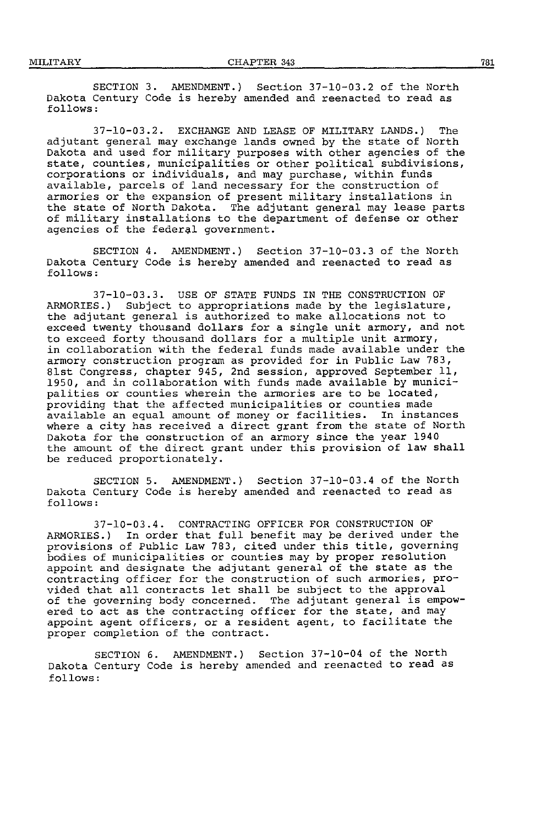SECTION 3. AMENDMENT.) Section 37-10-03.2 of the North Dakota Century Code is hereby amended and reenacted to read as follows:

37-10-03.2. EXCHANGE AND LEASE OF MILITARY LANDS.) The adjutant general may exchange lands owned by the state of North Dakota and used for military purposes with other agencies of the state, counties, municipalities or other political subdivisions, corporations or individuals, and may purchase, within funds available, parcels of land necessary for the construction of armories or the expansion of present military installations in the state of North Dakota. The adjutant general may lease parts of military installations to the department of defense or other agencies of the federal government.

SECTION 4. AMENDMENT.) Section 37-10-03.3 of the North Dakota Century Code is hereby amended and reenacted to read as follows:

37-10-03.3. USE OF STATE FUNDS IN THE CONSTRUCTION OF ARMORIES.) Subject to appropriations made by the legislature, the adjutant general is authorized to make allocations not to exceed twenty thousand dollars for a single unit armory, and not to exceed forty thousand dollars for a multiple unit armory, in collaboration with the federal funds made available under the armory construction program as provided for in Public Law 783, 8lst Congress, chapter 945, 2nd session, approved September 11, 1950, and in collaboration with funds made available by municipalities or counties wherein the armories are to be located, providing that the affected municipalities or counties made available an equal amount of money or facilities. In instances where a city has received a direct grant from the state of North Dakota for the construction of an armory since the year 1940 the amount of the direct grant under this provision of law shall be reduced proportionately.

SECTION 5. AMENDMENT.) Section 37-10-03.4 of the North Dakota Century Code is hereby amended and reenacted to read as follows:

37-10-03.4. CONTRACTING OFFICER FOR CONSTRUCTION OF ARMORIES.) In order that full benefit may be derived under the provisions of Public Law 783, cited under this title, governing bodies of municipalities or counties may by proper resolution appoint and designate the adjutant general of the state as the contracting officer for the construction of such armories, provided that all contracts let shall be subject to the approval of the governing body concerned. The adjutant general is empowered to act as the contracting officer for the state, and may appoint agent officers, or a resident agent, to facilitate the proper completion of the contract.

SECTION 6. AMENDMENT.) Section 37-10-04 of the North Dakota Century Code is hereby amended and reenacted to read as follows: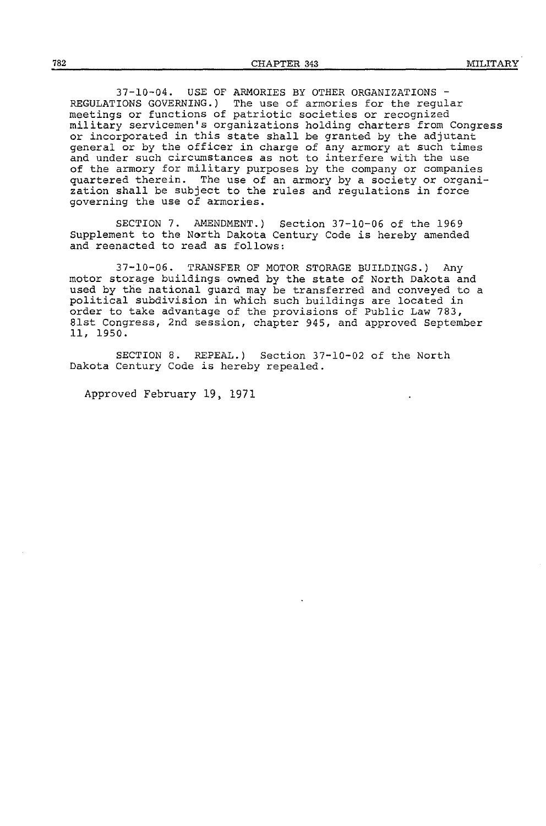37-10-04. USE OF ARMORIES BY OTHER ORGANIZATIONS - REGULATIONS GOVERNING.) The use of armories for the regular meetings or functions of patriotic societies or recognized military servicemen's organizations holding charters from Congress or incorporated in this state shall be granted by the adjutant general or by the officer in charge of any armory at such times and under such circumstances as not to interfere with the use of the armory for military purposes by the company or companies quartered therein. The use of an armory by a society or organization shall be subject to the rules and regulations in force governing the use of armories.

SECTION 7. AMENDMENT.) Section 37-10-06 of the 1969 Supplement to the North Dakota Century Code is hereby amended and reenacted to read as follows:

37-10-06. TRANSFER OF MOTOR STORAGE BUILDINGS.) Any motor storage buildings owned by the state of North Dakota and used by the national guard may be transferred and conveyed to a political subdivision in which such buildings are located in order to take advantage of the provisions of Public Law 783, Blst Congress, 2nd session, chapter 945, and approved September 11, 1950.

SECTION 8. REPEAL.) Section 37-10-02 of the North Dakota Century Code is hereby repealed.

Approved February 19, 1971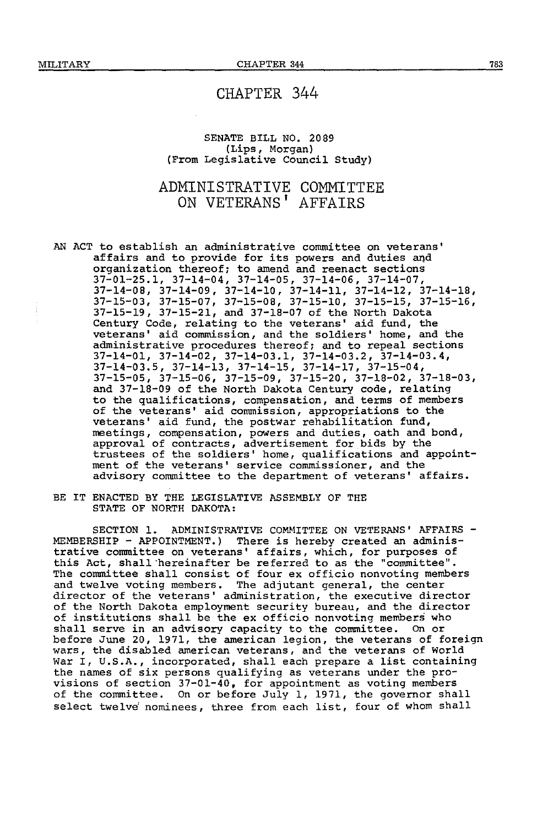#### SENATE BILL NO. 2089 (Lips, Morgan) (From Legislative Council Study)

# ADMINISTRATIVE COMMITTEE ON VETERANS<sup>'</sup> AFFATRS

AN ACT to establish an administrative committee on veterans' affairs and to provide for its powers and duties and organization thereof; to amend and reenact sections 37-01-25.1, 37-14-04, 37-14-05, 37-14-06, 37-14-07, 37-14-08, 37-14-09, 37-14-10, 37-14-11, 37-14-12, 37-14-18, 37-15-03, 37-15-07, 37-15-08, 37-15-10, 37-15-15, 37-15-16, 37-15-19, 37-15-21, and 37-18-07 of the North Dakota Century Code, relating to the veterans' aid fund, the veterans' aid commission, and the soldiers' horne, and the administrative procedures thereof; and to repeal sections 37-14-01, 37-14-02, 37-14-03.1, 37-14-03.2, 37-14-03.4, 37-14-03.5, 37-14-13, 37-14-15, 37-14-17, 37-15-04, 37-15-05, 37-15-06, 37-15-09, 37-15-20, 37-18-02, 37-18-03, and 37-18-09 of the North Dakota Century code, relating to the qualifications, compensation, and terms of members of the veterans' aid commission, appropriations to the veterans' aid fund, the postwar rehabilitation fund, meetings, compensation, powers and duties, oath and bond, approval of contracts, advertisement for bids by the trustees of the soldiers' home, qualifications and appointment of the veterans' service commissioner, and the advisory committee to the department of veterans' affairs.

BE IT ENACTED BY THE LEGISLATIVE ASSEMBLY OF THE STATE OF NORTH DAKOTA:

SECTION 1. ADMINISTRATIVE COMMITTEE ON VETERANS' AFFAIRS-MEMBERSHIP - APPOINTMENT.) There is hereby created an administrative committee on veterans' affairs, which, for purposes of this Act, shall-hereinafter be referred to as the "committee". The committee shall consist of four ex officio nonvoting members and twelve voting members. The adjutant general, the center director of the veterans' administration, the executive director of the North Dakota employment security bureau, and the director of institutions shall be the ex officio nonvoting members who shall serve in an advisory capacity to the committee. On or before June 20, 1971, the american legion, the veterans of foreign wars, the disabled american veterans, and the veterans of World War I, U.S.A., incorporated, shall each prepare a list containing the names of six persons qualifying as veterans under the provisions of section 37-01-40, for appointment as voting members of the committee. On or before July 1, 1971, the governor shall select twelve nominees, three from each list, four of whom shall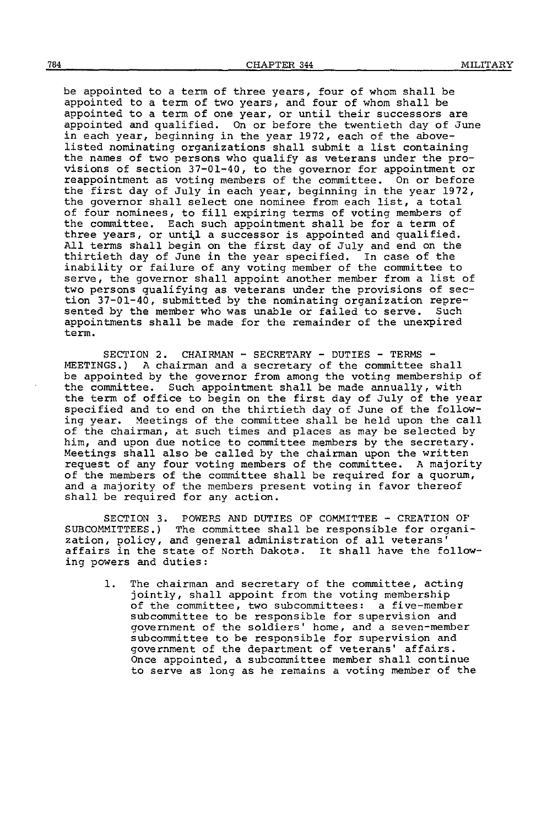be appointed to a term of three years, four of whom shall be appointed to a term of two years, and four of whom shall be appointed to a term of one year, or until their successors are appointed and qualified. On or before the twentieth day of June in each year, beginning in the year 1972, each of the abovelisted nominating organizations shall submit a list containing the names of two persons who qualify as veterans under the provisions of section 37-01-40, to the governor for appointment or reappointment as voting members of the committee. On or before the first day of July in each year, beginning in the year 1972, the governor shall select one nominee from each list, a total of four nominees, to fill expiring terms of voting members of the committee. Each such appointment shall be for a term of three years, or until a successor is appointed and qualified. All terms shall begin on the first day of July and end on the thirtieth day of June in the year specified. In case of the thirtieth day of June in the year specified. inability or failure of any voting member of the committee to serve, the governor shall appoint another member from a list of<br>two persons qualifying as veterans under the provisions of section 37-01-40, submitted by the nominating organization repre-<br>sented by the member who was unable or failed to serve. Such sented by the member who was unable or failed to serve. appointments shall be made for the remainder of the unexpired term.

SECTION 2. CHAIRMAN - SECRETARY - DUTIES - TERMS -  $MEETINGS.)$  A chairman and a secretary of the committee shall be appointed by the governor from among the voting membership of the committee. Such appointment shall be made annually, with Such appointment shall be made annually, with the term of office to begin on the first day of July of the year specified and to end on the thirtieth day of June of the following year. Meetings of the committee shall be held upon the call of the chairman, at such times and places as may be selected by him, and upon due notice to committee members by the secretary. Meetings shall also be called by the chairman upon the written request of any four voting members of the committee. A majority of the members of the committee shall be required for a quorum, and a majority of the members present voting in favor thereof shall be required for any action.

SECTION 3. POWERS AND DUTIES OF COMMITTEE - CREATION OF SUBCOMMITTEES.) The committee shall be responsible for organization, policy, and general administration of all veterans<sup>1</sup> affairs in the state of North Dakoto. It shall have the following powers and duties:

1. The chairman and secretary of the committee, acting jointly, shall appoint from the voting membership of the committee, two subcommittees: a five-member subcommittee to be responsible for supervision and government of the soldiers' home, and a seven-member subcommittee to be responsible for supervision and government of the department of veterans' affairs. Once appointed, a subcommittee member shall continue to serve as long as he remains a voting member of the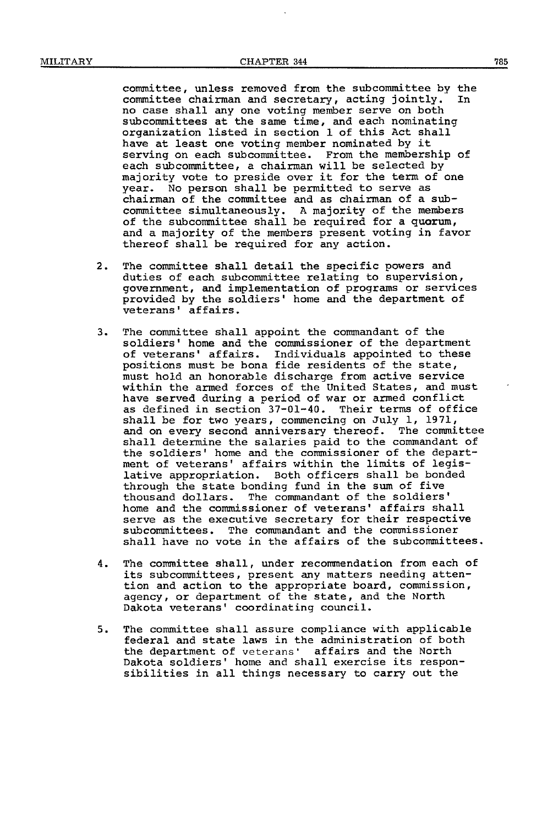committee, unless removed from the subcommittee by the committee chairman and secretary, acting jointly. In no case shall any one voting member serve on both subcommittees at the same time, and each nominating organization listed in section 1 of this Act shall have at least one voting member nominated by it serving on each subcommittee. From the membership of each subcommittee, a chairman will be selected by majority vote to preside over it for the term of one year. No person shall be permitted to serve as chairman of the committee and as chairman of a subcommittee simultaneously. A majority of the members of the subcommittee shall be required for a quorum, and a majority of the members present voting in favor thereof shall be required for any action.

- 2. The committee shall detail the specific powers and duties of each subcommittee relating to supervision, government, and implementation of programs or services provided by the soldiers' home and the department of veterans' affairs.
- 3. The committee shall appoint the commandant of the soldiers' home and the commissioner of the department of veterans' affairs. Individuals appointed to these positions must be bona fide residents of the state, must hold an honorable discharge from active service within the armed forces of the United States, and must<br>have served during a period of war or armed conflict as defined in section 37-01-40. Their terms of office shall be for two years, commencing on July 1, 1971, and on every second anniversary thereof. The committee shall determine the salaries paid to the commandant of the soldiers' home and the commissioner of the department of veterans' affairs within the limits of legislative appropriation. Both officers shall be bonded through the state bonding fund in the sum of five thousand dollars. The commandant of the soldiers' home and the commissioner of veterans' affairs shall serve as the executive secretary for their respective subcommittees, The commandant and the commissioner shall have no vote in the affairs of the subcommittees.
- 4. The committee shall, under recommendation from each of its subcommittees, present any matters needing attention and action to the appropriate board, commission, agency, or department of the state, and the North Dakota veterans' coordinating council.
- 5. The committee shall assure compliance with applicable federal and state laws in the administration of both the department of veterans' affairs and the North Dakota soldiers' home and shall exercise its responsibilities in all things necessary to carry out the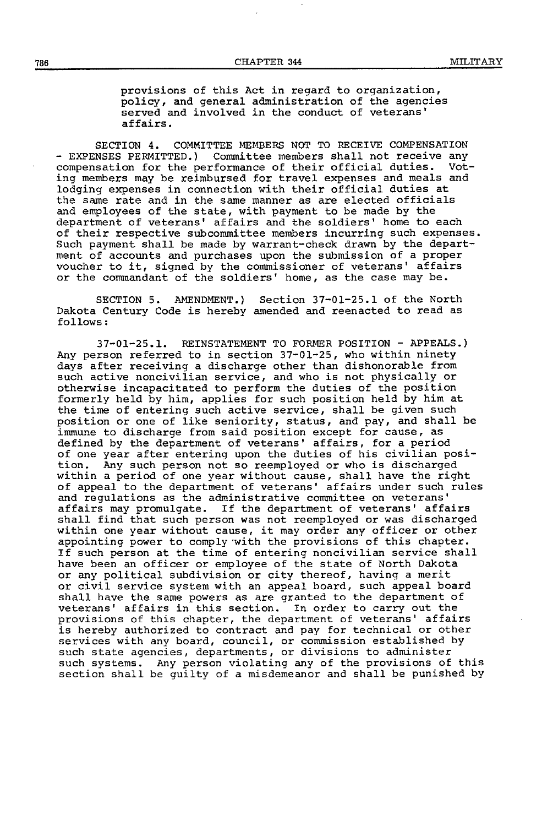provisions of this Act in regard to organization, policy, and general administration of the agencies served and involved in the conduct of veterans' affairs.

SECTION 4. COMMITTEE MEMBERS NOT TO RECEIVE COMPENSATION - EXPENSES PERMITTED.) Committee members shall not receive any compensation for the performance of their official duties. Voting members may be reimbursed for travel expenses and meals and lodging expenses in connection with their official duties at the same rate and in the same manner as are elected officials and employees of the state, with payment to be made by the department of veterans' affairs and the soldiers' home to each of their respective subcommittee members incurring such expenses. Such payment shall be made by warrant-check drawn by the department of accounts and purchases upon the submission of a proper voucher to it, signed by the commissioner of veterans' affairs or the commandant of the soldiers' home, as the case may be.

SECTION 5. AMENDMENT.) Section 37-01-25.1 of the North Dakota Century Code is hereby amended and reenacted to read as follows:

37-01-25.1. REINSTATEMENT TO FORMER POSITION - APPEALS.) Any person referred to in section 37-01-25, who within ninety days after receiving a discharge other than dishonorable from<br>such active noncivilian service, and who is not physically or otherwise incapacitated to perform the duties of the position formerly held by him, applies for such position held by him at the time of entering such active service, shall be given such position or one of like seniority, status, and pay, and shall be immune to discharge from said position except for cause, as defined by the department of veterans' affairs, for a period of one year after entering upon the duties of his civilian posi-<br>tion. Any such person not so reemployed or who is discharged Any such person not so reemployed or who is discharged within a period of one year without cause, shall have the right of appeal to the department of veterans' affairs under such rules and regulations as the administrative committee on veterans' affairs may promulgate. If the department of veterans' affairs shall find that such person was not reemployed or was discharged within one year without cause, it may order any officer or other appointing power to comply with the provisions of this chapter. If such person at the time of entering noncivilian service shall<br>have been an officer or employee of the state of North Dakota or any political subdivision or city thereof, having a merit<br>or civil service system with an appeal board, such appeal board shall have the same powers as are granted to the department of veterans' affairs in this section. In order to carry out the provisions of this chapter, the department of veterans' affairs is hereby authorized to contract and pay for technical or other services with any board, council, or commission established by such state agencies, departments, or divisions to administer such systems. Any person violating any of the provisions of this section shall be guilty of a misdemeanor and shall be punished by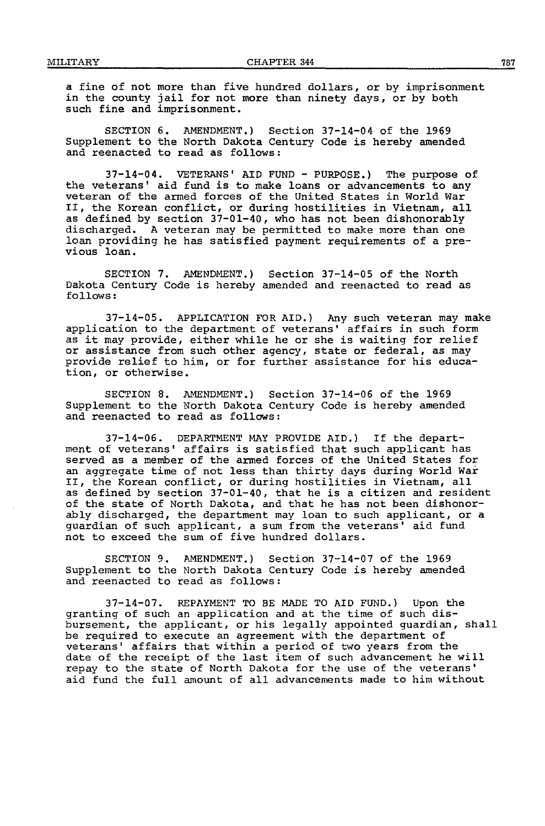a fine of not more than five hundred dollars, or by imprisonment In the county jail for not more than ninety days, or by both such fine and imprisonment.

SECTION 6. AMENDMENT.) Section 37-14-04 of the 1969 Supplement to the North Dakota Century Code is hereby amended and reenacted to read as follows:

 $37-14-04$ . VETERANS' AID FUND - PURPOSE.) The purpose of the veterans' aid fund is to make loans or advancements to any veteran of the armed forces of the United States in World War II, the Korean conflict, or during hostilities in Vietnam, all as defined by section 37-01-40, who has not been dishonorably discharged. A veteran may be permitted to make more than one loan providing he has satisfied payment requirements of a previous loan.

SECTION 7. AMENDMENT.) Section 37-14-05 of the North Dakota Century Code is hereby amended and reenacted to read as follows:

37-14-05. APPLICATION FOR AID.) Any such veteran may make<br>application to the department of veterans' affairs in such form as it may provide, either while he or she is waiting for relief or assistance from such other agency, state or federal, as may provide relief to him, or for further assistance for his education, or otherwise.

SECTION B. AMENDMENT.) Section 37-14-06 of the 1969 Supplement to the North Dakota Century Code is hereby amended and reenacted to read as follows:

 $37-14-06$ . DEPARTMENT MAY PROVIDE AID.) If the department of veterans' affairs is satisfied that such applicant has<br>served as a member of the armed forces of the United States for an aggregate time of not less than thirty days during World War II, the Korean conflict, or during hostilities in Vietnam, all as defined by section 37-01-40, that he is a citizen and resident of the state of North Dakota, and that he has not been dishonor-<br>ably discharged, the department may loan to such applicant, or a guardian of such applicant, a sum from the veterans' aid fund not to exceed the sum of five hundred dollars.

SECTION 9. AMENDMENT.) Section 37-14-07 of the 1969 Supplement to the North Dakota Century Code is hereby amended and reenacted to read as follows:

37-14-07. REPAYMENT TO BE MADE TO AID FUND.) Upon the granting of such an ·application and at the time of such disbursement, the applicant, or his legally appointed guardian, shall be required to execute an agreement with the department of veterans' affairs that within a period of two years from the date of the receipt of the last item of such advancement he will repay to the state of North Dakota for the use of the veterans' aid fund the full amount of all advancements made to him without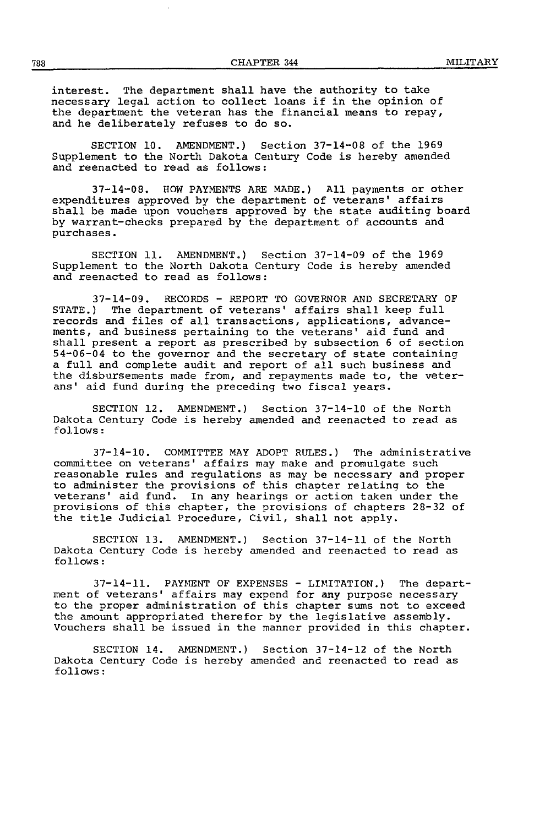interest. The department shall have the authority to take necessary legal action to collect loans if in the opinion of the department the veteran has the financial means to repay, and he deliberately refuses to do so.

SECTION 10. AMENDMENT.) Section 37-14-08 of the 1969 Supplement to the North Dakota Century Code is hereby amended and reenacted to read as follows:

37-14-08. HOW PAYMENTS ARE MADE.) All payments or other expenditures approved by the department of veterans' affairs shall be made upon vouchers approved by the state auditing board by warrant-checks prepared by the department of accounts and purchases.

SECTION 11. AMENDMENT.) Section 37-14-09 of the 1969 Supplement to the North Dakota Century Code is hereby amended and reenacted to read as follows:

37-14-09. RECORDS - REPORT TO GOVERNOR AND SECRETARY OF STATE.) The department of veterans' affairs shall keep full records and files of all transactions, applications, advance-ments, and business pertaining to the veterans' aid fund and shall present a report as prescribed by subsection 6 of section 54-06-04 to the governor and the secretary of state containing a full and complete audit and report of all such business and the disbursements made from, and repayments made to, the veterans' aid fund during the preceding two fiscal years.

SECTION 12. AMENDMENT.) Section 37-14-10 of the North Dakota Century Code is hereby amended and reenacted to read as follows:

37-14-10. COMMITTEE MAY ADOPT RULES.) The administrative committee on veterans' affairs may make and promulgate such reasonable rules and regulations as may be necessary and proper to administer the provisions of this chapter relating to the veterans' aid fund. In any hearings or action taken under the provisions of this chapter, the provisions of chapters 28-32 of the title Judicial Procedure, Civil, shall not apply.

SECTION 13. AMENDMENT.) Section 37-14-11 of the North Dakota Century Code is hereby amended and reenacted to read as follows:

37-14-11. PAnlENT OF EXPENSES - LHUTATION.) The department of veterans' affairs may expend for any purpose necessary to the proper administration of this chapter sums not to exceed the amount appropriated therefor by the legislative assembly. Vouchers shall be issued in the manner provided in this chapter.

SECTION 14. AMENDMENT.) Section 37-14-12 of the North Dakota Century Code is hereby amended and reenacted to read as follows: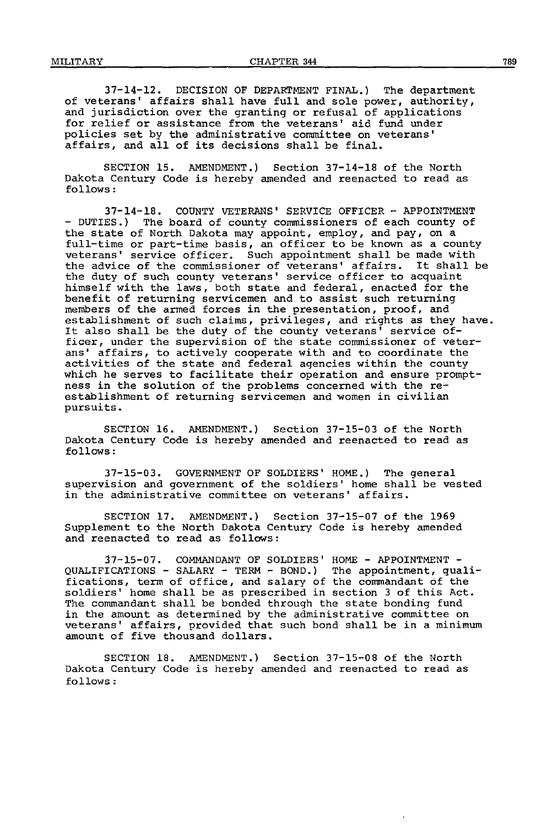37-14-12. DECISION OF DEPARTMENT FINAL.) The department of veterans' affairs shall have full and sole power, authority, and jurisdiction over the granting or refusal of applications for relief or assistance from the veterans' aid fund under policies set by the administrative committee on veterans' affairs, and all of its decisions shall be final.

SECTION 15. AMENDMENT.) Section 37-14-18 of the North Dakota Century Code is hereby amended and reenacted to read as follows:

37-14-18. COUNTY VETERANS' SERVICE OFFICER- APPOINTMENT - DUTIES.) The board of county commissioners of each county of the state of North Dakota may appoint, employ, and pay, on a full-time or part-time basis, an officer to be known as a county veterans' service officer. Such appointment shall be made with the advice of the commissioner of veterans' affairs. It shall be the duty of such county veterans' service officer to acquaint himself with the laws, both state and federal, enacted for the benefit of returning servicemen and to assist such returning members of the armed forces in the presentation, proof, and establishment of such claims, privileges, and rights as they have. It also shall be the duty of the county veterans' service of-ficer, under the supervision of the state commissioner of veterans' affairs, to actively cooperate with and to coordinate the activities of the state and federal agencies within the county which he serves to facilitate their operation and ensure prompt-<br>ness in the solution of the problems concerned with the re-<br>establishment of returning servicemen and women in civilian pursuits.

SECTION 16. AMENDMENT.) Section 37-15-03 of the North Dakota Century Code is hereby amended and reenacted to read as follows:

37-15-03. GOVERNMENT OF SOLDIERS' HOME.) The general supervision and government of the soldiers' home shall be vested in the administrative committee on veterans' affairs.

SECTION 17. AMENDMENT.) Section 37-15-07 of the 1969 Supplement to the North Dakota Century Code is hereby amended and reenacted to read as follows:

37-15-07. COMMANDANT OF SOLDIERS' HOME - APPOINTMENT - QUALIFICATIONS - SALARY - TERM- BOND.) The appointment, qualifications, term of office, and salary of the commandant of the soldiers' home shall be as prescribed in section 3 of this Act. The commandant shall be bonded through the state bonding fund in the amount as determined by the administrative committee on veterans' affairs, provided that such bond shall be in a minimum amount of five thousand dollars.

SECTION 18. AMENDMENT.) Section 37-15-08 of the North Dakota Century Code is hereby amended and reenacted to read as follows: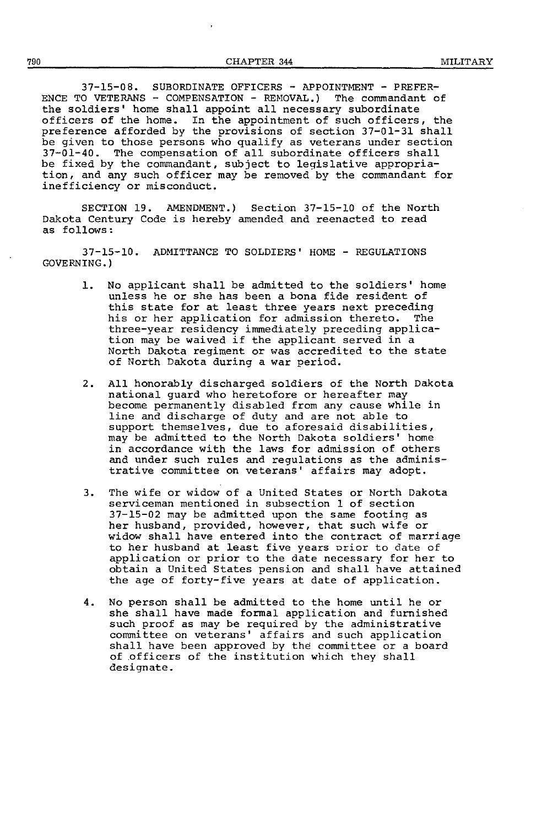37-15-08. SUBORDINATE OFFICERS - APPOINTMENT - PREFER-ENCE TO VETERANS - COMPENSATION - REHOVAL.) The commandant of the soldiers' home shall appoint all necessary subordinate officers of the home. In the appointment of such officers, the preference afforded by the provisions of section 37-01-31 shall be given to those persons who qualify as veterans under section 37-01-40. The compensation of all subordinate officers shall be fixed by the commandant, subject to legislative appropriation, and any such officer may be removed by the commandant for inefficiency or misconduct.

SECTION 19. AMENDMENT.) Section 37-15-10 of the North Dakota Century Code is hereby amended and reenacted to read as follows:

37-15-10. ADMITTANCE TO SOLDIERS' HOME - REGULATIONS GOVERNING.)

- 1. No applicant shall be admitted to the soldiers' home unless he or she has been a bona fide resident of this state for at least three years next preceding his or her application for admission thereto. The three-year residency immediately preceding applica-<br>tion may be waived if the applicant served in a North Dakota regiment or was accredited to the state of North Dakota during a war period.
- 2. All honorably discharged soldiers of the North Dakota national guard who heretofore or hereafter may become permanently disabled from any cause while in line and discharge of duty and are not able to support themselves, due to aforesaid disabilities, may be admitted to the North Dakota soldiers' home in accordance with the laws for admission of others and under such rules and regulations as the administrative committee on veterans' affairs may adopt.
- 3. The wife or widow of a United States or North Dakota serviceman mentioned in subsection 1 of section<br>37-15-02 may be admitted upon the same footing as her husband, provided, however, that such wife or<br>widow shall have entered into the contract of marriage to her husband at least five years orior to date of application or prior to the date necessary for her to obtain a United States pension and shall have attained the age of forty-five years at date of application.
- 4. No person shall be admitted to the home until he or she shall have made formal application and furnished such proof as may be required by the administrative committee on veterans' affairs and such application shall have been approved by the committee or a board of .officers of the institution which they shall designate.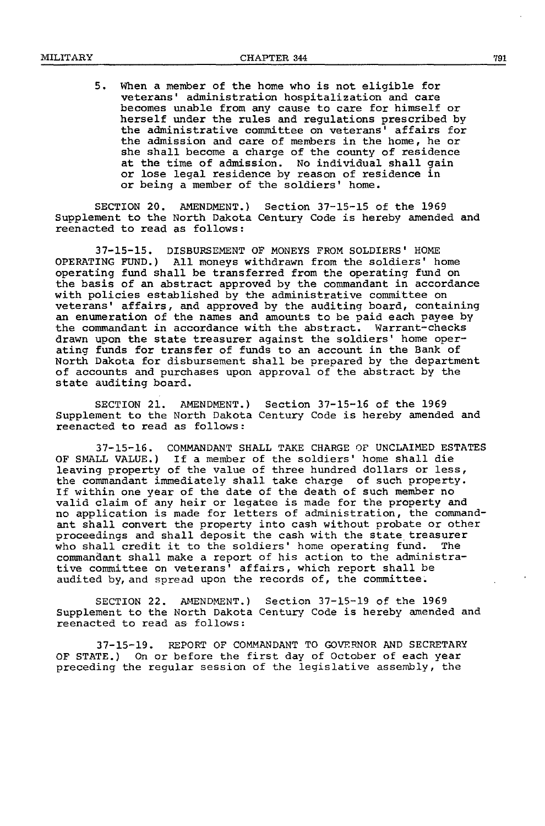5. When a member of the home who is not eligible for becomes unable from any cause to care for himself or herself under the rules and regulations prescribed by the administrative committee on veterans' affairs for<br>the admission and care of members in the home, he or she shall become a charge of the county of residence at the time of admission. No individual shall gain or lose legal residence by reason of residence in or being a member of the soldiers' home.

SECTION 20. AMENDMENT.) Section 37-15-15 of the 1969 Supplement to the North Dakota Century Code is hereby amended and reenacted to read as follows:

37-15-15. DISBURSEMENT OF MONEYS FROM SOLDIERS' HOME OPERATING FUND.) All moneys withdrawn from the soldiers' home the basis of an abstract approved by the commandant in accordance with policies established by the administrative committee on veterans' affairs, and approved by the auditing board, containing<br>an enumeration of the names and amounts to be paid each payee by the commandant in accordance with the abstract. Warrant-checks drawn upon the state treasurer against the soldiers' home operating funds for transfer of funds to an account in the Bank of North Dakota for disbursement shall be prepared by the department of accounts and purchases upon approval of the abstract by the state auditing board.

SECTION 21. AMENDMENT.) Section 37-15-16 of the 1969 Supplement to the North Dakota Century Code is hereby amended and reenacted to read as follows:

37-15-16. COMMANDANT SHALL TAKE CHARGE OF UNCLAIMED ESTATES<br>OF SMALL VALUE.) If a member of the soldiers' home shall die leaving property of the value of three hundred dollars or less, the commandant immediately shall take charge of such property.<br>If within one year of the date of the death of such member no valid claim of any heir or legatee is made for the property and no application is made for letters of administration, the commandant shall convert the property into cash without probate or other proceedings and shall deposit the cash with the state treasurer<br>who shall credit it to the soldiers' home operating fund. The who shall credit it to the soldiers' home operating fund. commandant shall make a report of his action to the administrative committee on veterans' affairs, which report shall be audited by, and spread upon the records of, the committee.

SECTION 22. AMENDMENT.) Section 37-15-19 of the 1969 Supplement to the North Dakota Century Code is hereby amended and reenacted to read as follows:

37-15-19. REPORT OF COMMANDANT TO GOVERNOR AND SECRETARY OF STATE.) On or before the first day of October of each year preceding the regular session of the legislative assembly, the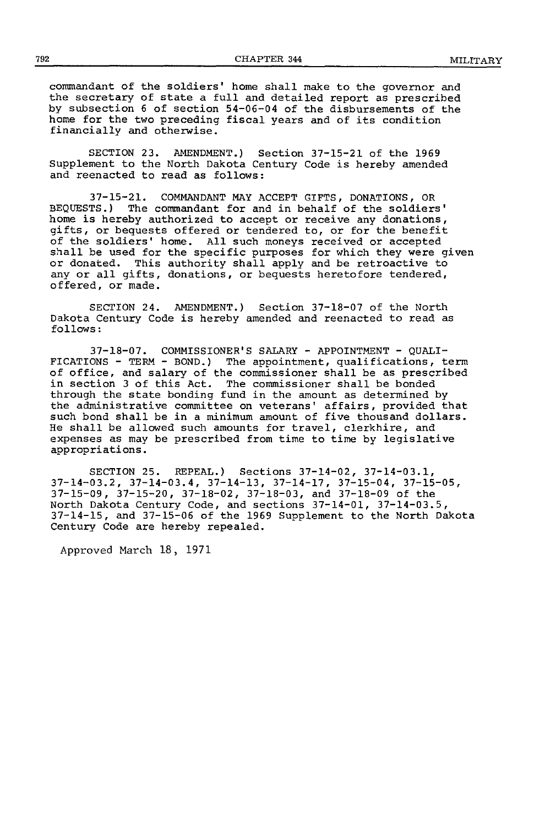commandant of the soldiers' home shall make to the governor and the secretary of state a full and detailed report as prescribed by subsection 6 of section 54-06-04 of the disbursements of the home for the two preceding fiscal years and of its condition financially and otherwise.

SECTION 23. AMENDMENT.) Section 37-15-21 of the 1969 Supplement to the North Dakota Century Code is hereby amended and reenacted to read as follows:

37-15-21. COMMANDANT MAY ACCEPT GIFTS, DONATIONS, OR BEQUESTS.) The commandant for and in behalf of the soldiers' home is hereby authorized to accept or receive any donations, gifts, or bequests offered or tendered to, or for the benefit of the soldiers' home. All such moneys received or accepted shall be used for the specific purposes for which they were given or donated. This authority shall apply and be retroactive to any or all gifts, donations, or bequests heretofore tendered, offered, or made.

SECTION 24. AMENDMENT.) Section 37-18-07 of the North Dakota Century Code is hereby amended and reenacted to read as follows:

37-18-07. COMMISSIONER'S SALARY- APPOINTMENT- QUALI-FICATIONS - TERM - BOND.) The appointment, qualifications, term of office, and salary of the commissioner shall be as prescribed in section 3 of this Act. The commissioner shall be bonded through the state bonding fund in the amount as determined by the administrative committee on veterans' affairs, provided that such bond shall be in a minimum amount of five thousand dollars. He shall be allowed such amounts for travel, clerkhire, and expenses as may be prescribed from time to time by legislative appropriations.

SECTION 25. REPEAL.) Sections 37-14-02, 37-14-03.1, 37-14-03.2, 37-14-03.4, 37-14-13, 37-14-17, 37-15-04, 37-15-05, 37-15-09, 37-15-20, 37-18-02, 37-18-03, and 37-18-09 of the North Dakota Century Code, and sections 37-14-01, 37-14-03.5, 37-14-15, and 37-15-06 of the 1969 Supplement to the North Dakota Century Code are hereby repealed.

Approved March 18, 1971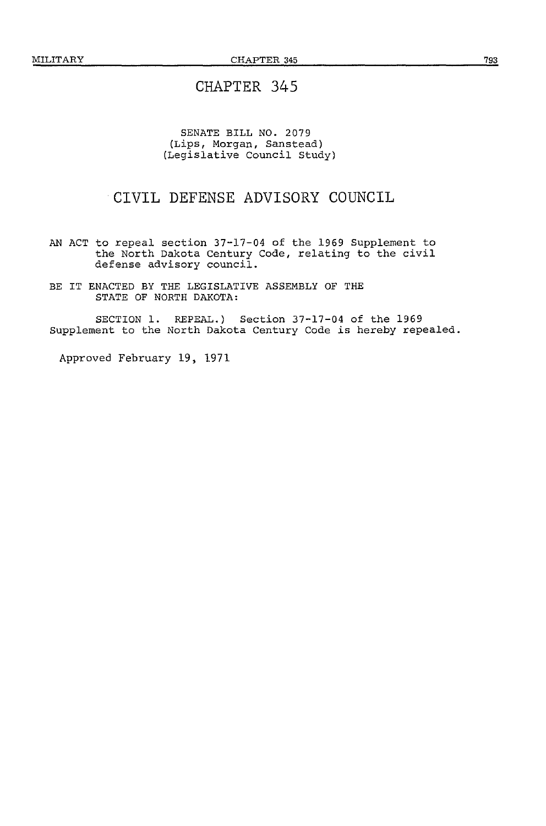#### SENATE BILL NO. 2079 (Lips, Morgan, Sanstead) (Legislative Council Study)

### CIVIL DEFENSE ADVISORY COUNCIL

AN ACT to repeal section 37-17-04 of the 1969 Supplement to the North Dakota Century Code, relating to the civil defense advisory council.

BE IT ENACTED BY THE LEGISLATIVE ASSEMBLY OF THE STATE OF NORTH DAKOTA:

SECTION 1. REPEAL.) Section 37-17-04 of the 1969 Supplement to the North Dakota Century Code *is* hereby repealed.

Approved February 19, 1971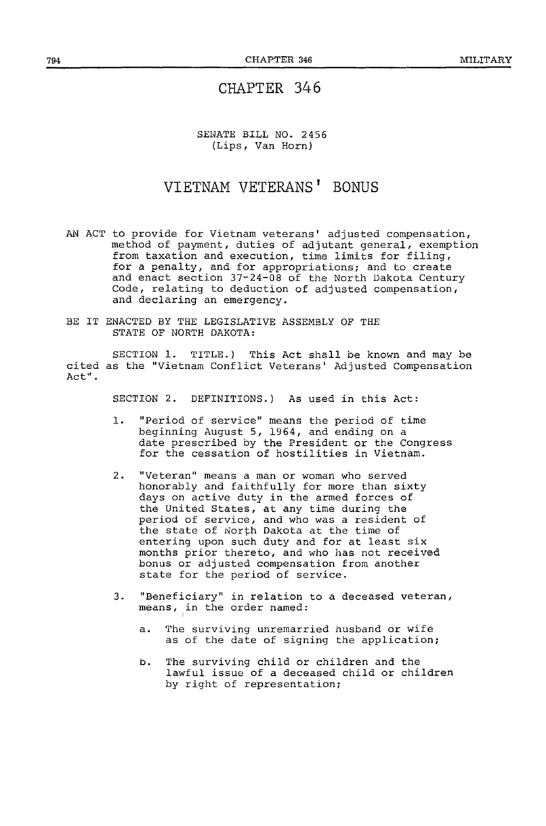SENATE BILL NO. 2456 (Lips, Van Horn)

# **VIETNAM VETERANS' BONUS**

- AN ACT to provide for Vietnam veterans' adjusted compensation, method of payment, duties of adjutant general, exemption from taxation and execution, time limits for filing, for a penalty, and for appropriations; and to create and enact section 37-24-08 of the North Dakota Century Code, relating to deduction of adjusted compensation, and declaring an emergency.
- BE IT ENACTED BY THE LEGISLATIVE ASSEMBLY OF THE STATE OF NORTH DAKOTA:

SECTION 1. TITLE.) This Act shall be known and may be cited as the "Vietnam Conflict Veterans' Adjusted Compensation Act".

SECTION 2. DEFINITIONS.) As used in this Act:

- 1. "Period of service" means the period of time beginning August 5, 1964, and ending on a date prescribed by the President or the Congress for the cessation of hostilities in Vietnam.
- 2. "Veteran" means a man or woman who served honorably and faithfully for more than sixty days on active duty in the armed forces of the United States, at any time during the period of service, and who was a resident of the state of North Dakota at the time of entering upon such duty and for at least six months prior thereto, and who has not received bonus or adjusted compensation from another state for the period of service.
- 3. "Beneficiary" in relation to a deceased veteran, means, in the order named:
	- a. The surviving unremarried husband or wife as of the date of signing the application;
	- b. The surviving child or children and the lawful issue of a deceased child or children by right of representation;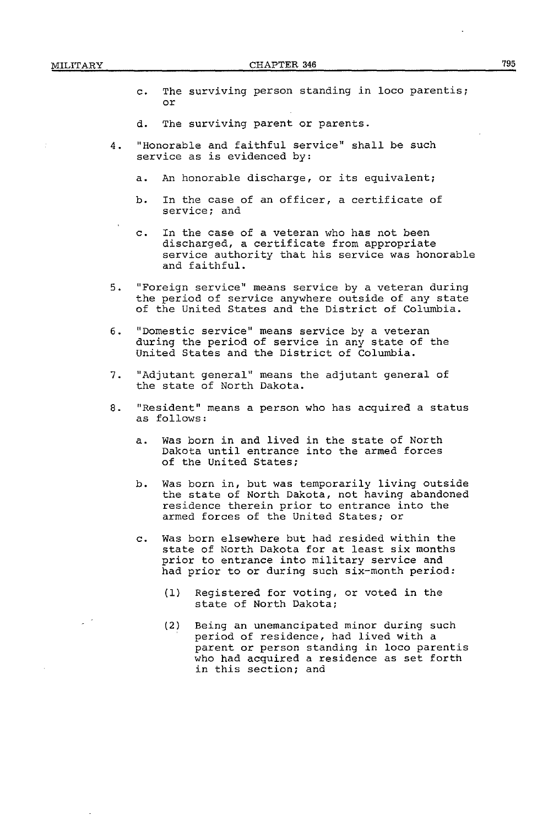- c. The surviving person standing in loco parentis; or
- d. The surviving parent or parents.
- 4. "Honorable and faithful service" shall be such service as is evidenced by:
	- a. An honorable discharge, or its equivalent;
	- b. In the case of an officer, a certificate of service; and
	- c. In the case of a veteran who has not been discharged, a certificate from appropriate service authority that his service was honorable and faithful.
- 5. "Foreign service" means service by a veteran during the period of service anywhere outside of any state of the United States and the District of Columbia.
- 6. "Domestic service" means service by a veteran during the period of service in any state of the United States and the District of Columbia.
- 7. "Adjutant general" means the adjutant general of the state of North Dakota.
- 8. "Resident" means a person who has acquired a status as follows:
	- a. Was born in and lived in the state of North Dakota until entrance into the armed forces of the United States;
	- b. Was born in, but was temporarily living outside the state of North Dakota, not having abandoned residence therein prior to entrance into the armed forces of the United States; or
	- c. Was born elsewhere but had resided within the state of North Dakota for at least six months prior to entrance into military service and had prior to or during such six-month period:
		- (1) Registered for voting, or voted in the state of North Dakota;
		- (2) Being an unemancipated minor during such period of residence, had lived with a parent or person standing in loco parentis who had acquired a residence as set forth in this section; and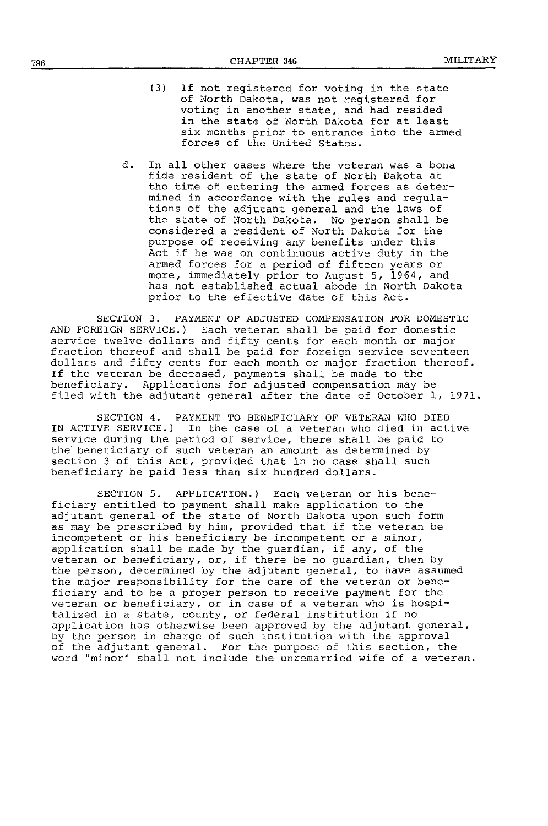- (3) If not registered for voting in the state of North Dakota, was not registered for voting in another state, and had resided in the state of North Dakota for at least six months prior to entrance into the armed forces of the United States.
- d. In all other cases where the veteran was a bona fide resident of the state of North Dakota at the time of entering the armed forces as determined in accordance with the rules and regulations of the adjutant general and the laws of the state of North Dakota. No person shall be considered a resident of North Dakota for the purpose of receiving any benefits under this Act if he was on continuous active duty in the armed forces for a period of fifteen years or more, immediately prior to August 5, 1964, and has not established actual abode in North Dakota prior to the effective date of this Act.

SECTION 3. PAYMENT OF ADJUSTED COMPENSATION FOR DOMESTIC AND FOREIGN SERVICE.) Each veteran shall be paid for domestic service twelve dollars and fifty cents for each month or major fraction thereof and shall be paid for foreign service seventeen dollars and fifty cents for each month or major fraction thereof. If the veteran be deceased, payments shall be made to the beneficiary. Applications for adjusted compensation may be filed with the adjutant general after the date of October 1, 1971.

SECTION 4. PAYMENT TO BENEFICIARY OF VETERAN WHO DIED IN ACTIVE SERVICE.) In the case of a veteran who died in active service during the period of service, there shall be paid to the beneficiary of such veteran an amount as determined by section 3 of this Act, provided that in no case shall such beneficiary be paid less than six hundred dollars.

SECTION 5. APPLICATION.) Each veteran or his beneficiary entitled to payment shall make application to the adjutant general of the state of North Dakota upon such form as may be prescribed by him, provided that if the veteran be incompetent or his beneficiary be incompetent or a minor, application shall be made by the guardian, if any, of the veteran or beneficiary, or, if there be no guardian, then by the person, determined by the adjutant general, to have assumed the major responsibility for the care of the veteran or beneficiary and to be a proper person to receive payment for the veteran or beneficiary, or in case of a veteran who is hospitalized in a state, county, or federal institution if no application has otherwise been approved by the adjutant general, by the person in charge of such institution with the approval of the adjutant general. For the purpose of this section, the word "minor" shall not include the unremarried wife of a veteran.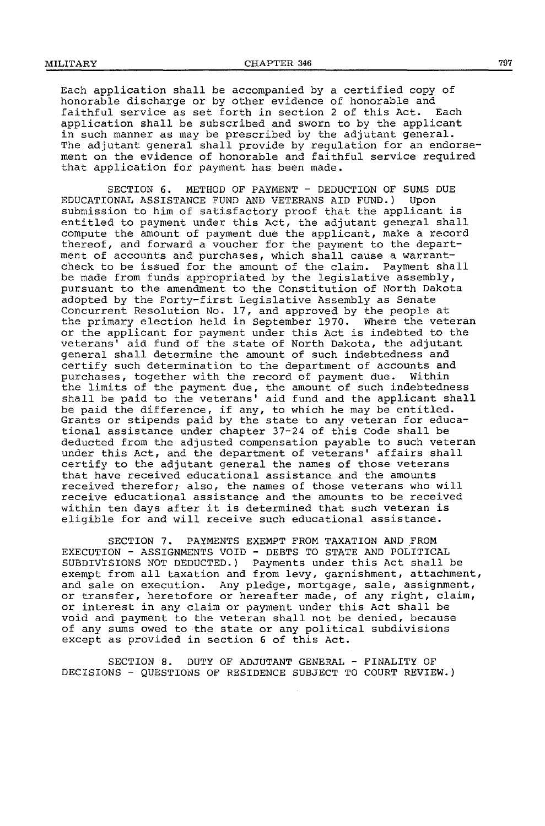Each application shall be accompanied by a certified copy of honorable discharge or by other evidence of honorable and faithful service as set forth in section 2 of this Act. Each application shall be subscribed and sworn to by the applicant in such manner as may be prescribed by the adjutant general. The adjutant general shall provide by regulation for an endorsement on the evidence of honorable and faithful service required that application for payment has been made.

SECTION 6. METHOD OF PAYMENT - DEDUCTION OF SUMS DUE<br>ONAL ASSISTANCE FUND AND VETERANS AID FUND.) Upon EDUCATIONAL ASSISTANCE FUND AND VETERANS AID FUND.) submission to him of satisfactory proof that the applicant is entitled to payment under this Act, the adjutant general shall compute the amount of payment due the applicant, make a record thereof, and forward a voucher for the payment to the department of accounts and purchases, which shall cause a warrantcheck to be issued for the amount of the claim. Payment shall be made from funds appropriated by the legislative assembly, pursuant to the amendment to the Constitution of North Dakota adopted by the Forty-first Legislative Assembly as Senate Concurrent Resolution No. 17, and approved by the people at the primary election held in September 1970. Where the veteran or the applicant for payment under this Act is indebted to the veterans' aid fund of the state of North Dakota, the adjutant general shall determine the amount of such indebtedness and certify such determination to the department of accounts and purchases, together with the record of payment due. Within the limits of the payment due, the amount of such indebtedness shall be paid to the veterans' aid fund and the applicant shall be paid the difference, if any, to which he may be entitled. Grants or stipends paid by the state to any veteran for educational assistance under chapter 37-24 of this Code shall be deducted from the adjusted compensation payable to such veteran under this Act, and the department of veterans' affairs shall certify to the adjutant general the names of those veterans that have received educational assistance and the amounts received therefor; also, the names of those veterans who will receive educational assistance and the amounts to be received within ten days after it is determined that such veteran is eligible for and will receive such educational assistance.

SECTION 7. PAYMENTS EXEMPT FROM TAXATION AND FROM EXECUTION - ASSIGNMENTS VOID - DEBTS TO STATE AND POLITICAL SUBDIVISIONS NOT DEDUCTED.) Payments under this Act shall be exempt from all taxation and from levy, garnishment, attachment, and sale on execution. Any pledge, mortgage, sale, assignment, or transfer, heretofore or hereafter made, of any right, claim, or interest in any claim or payment under this Act shall be void and payment to the veteran shall not be denied, because of any sums owed to the state or any political subdivisions except as provided in section 6 of this Act.

SECTION 8. DUTY OF ADJUTANT GENERAL - FINALITY OF DECISIONS- QUESTIONS OF RESIDENCE SUBJECT TO COURT REVIEW.)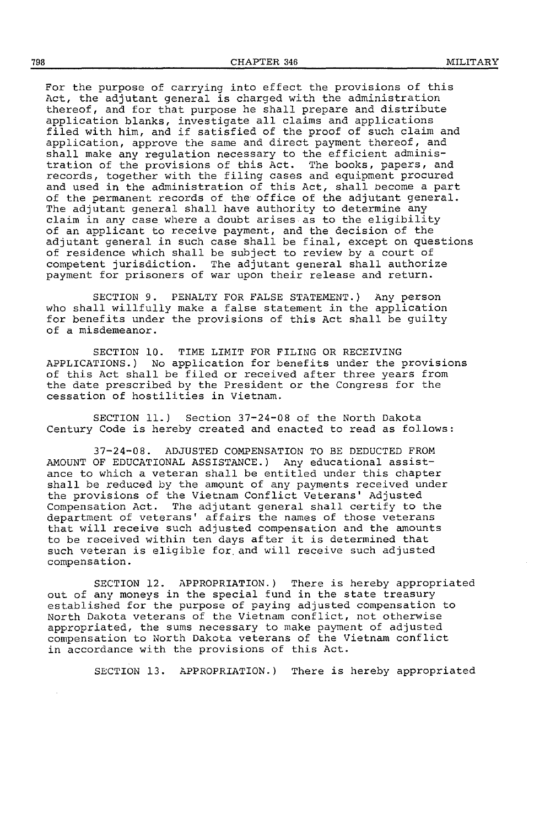For the purpose of carrying into effect the provisions of this Act, the adjutant general is charged with the administration thereof, and for that purpose he shall prepare and distribute application blanks, investigate all claims and applications filed with him, and if satisfied of the proof of such claim and application, approve the same and direct payment thereof, and shall make any regulation necessary to the efficient administration of the provisions of this Act. The books, papers, and records, together with the filing cases and equipment procured and used in the administration of this Act, shall become a part of the permanent records of the office of the adjutant general. The adjutant general shall have authority to determine any claim in any case where a doubt arises as to the eligibility of an applicant to receive payment, and the decision of the adjutant general in such case shall be final, except on questions of residence which shall be subject to review by a court of competent jurisdiction. The adjutant general shall authorize payment for prisoners of war upon their release and return.

SECTION 9. PENALTY FOR FALSE STATEMENT.) Any person who shall willfully make a false statement in the application for benefits under the provisions of this Act shall be guilty of a misdemeanor.

SECTION 10. TIME LIMIT FOR FILING OR RECEIVING APPLICATIONS.) No application for benefits under the provisions of this Act shall be filed or received after three years from the date prescribed by the President or the Congress for the cessation of hostilities in Vietnam.

SECTION 11.) Section 37-24-08 of the North Dakota Century Code is hereby created and enacted to read as follows:

37-24-08. ADJUSTED COMPENSATION TO BE DEDUCTED FROM AMOUNT OF EDUCATIONAL ASSISTANCE.) Any educational assistance to which a veteran shall be entitled under this chapter shall be reduced by the amount of any payments received under the provisions of the Vietnam Conflict Veterans' Adjusted Compensation Act. The adjutant general shall certify to the department of veterans' affairs the names of those veterans that will receive such adjusted compensation and the amounts to be received within ten days after it is determined that such veteran is eligible for. and will receive such adjusted compensation.

SECTION 12. APPROPRIATION.) There is hereby appropriated out of any moneys in the special fund in the state treasury established for the purpose of paying adjusted compensation to North Dakota veterans of the Vietnam conflict, not otherwise appropriated, the sums necessary to make payment of adjusted compensation to North Dakota veterans of the Vietnam conflict in accordance with the provisions of this Act.

SECTION 13. APPROPRIATION.) There is hereby appropriated